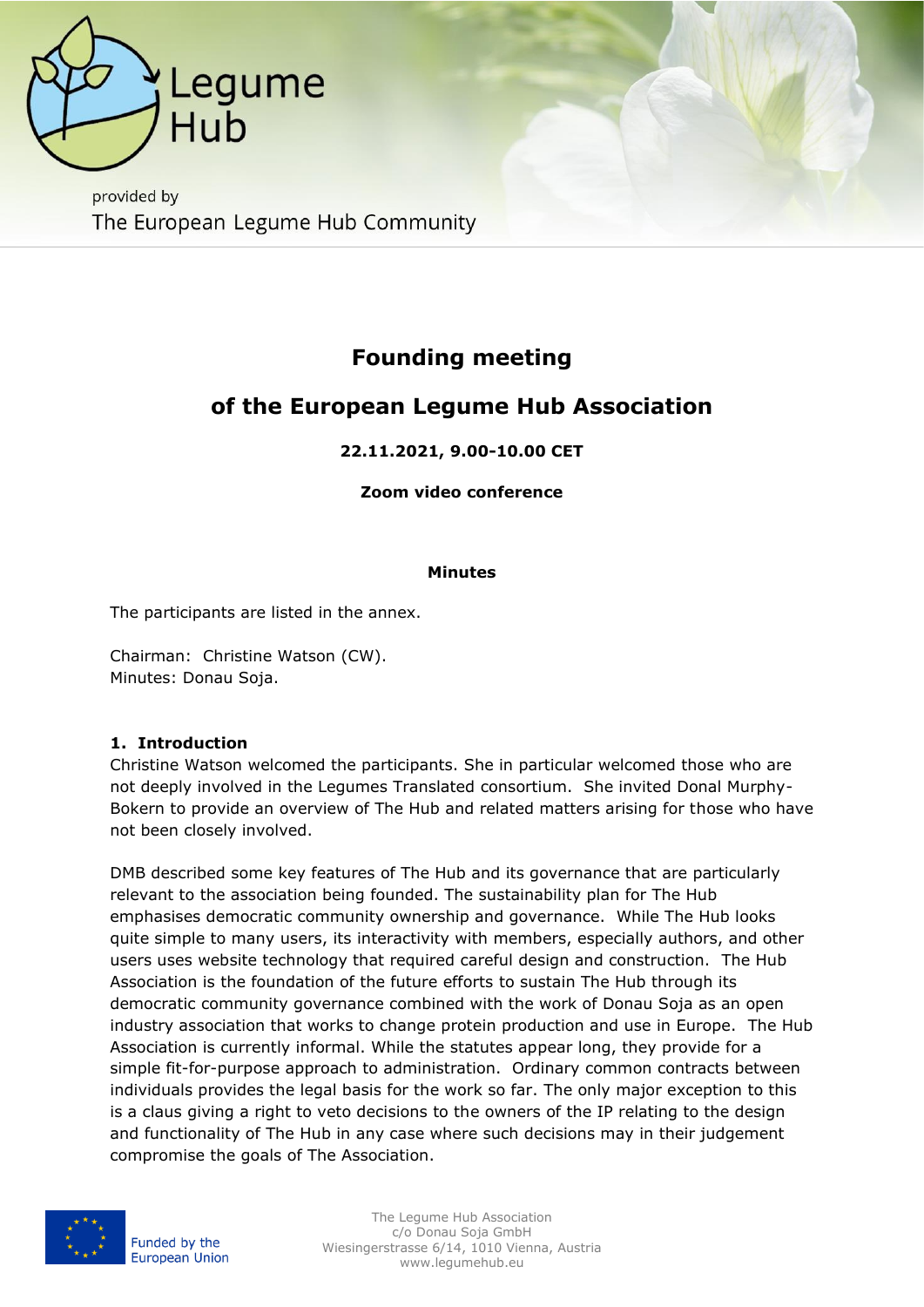

provided by The European Legume Hub Community

# **Founding meeting**

# **of the European Legume Hub Association**

## **22.11.2021, 9.00-10.00 CET**

#### **Zoom video conference**

#### **Minutes**

The participants are listed in the annex.

Chairman: Christine Watson (CW). Minutes: Donau Soja.

#### **1. Introduction**

Christine Watson welcomed the participants. She in particular welcomed those who are not deeply involved in the Legumes Translated consortium. She invited Donal Murphy-Bokern to provide an overview of The Hub and related matters arising for those who have not been closely involved.

DMB described some key features of The Hub and its governance that are particularly relevant to the association being founded. The sustainability plan for The Hub emphasises democratic community ownership and governance. While The Hub looks quite simple to many users, its interactivity with members, especially authors, and other users uses website technology that required careful design and construction. The Hub Association is the foundation of the future efforts to sustain The Hub through its democratic community governance combined with the work of Donau Soja as an open industry association that works to change protein production and use in Europe. The Hub Association is currently informal. While the statutes appear long, they provide for a simple fit-for-purpose approach to administration. Ordinary common contracts between individuals provides the legal basis for the work so far. The only major exception to this is a claus giving a right to veto decisions to the owners of the IP relating to the design and functionality of The Hub in any case where such decisions may in their judgement compromise the goals of The Association.